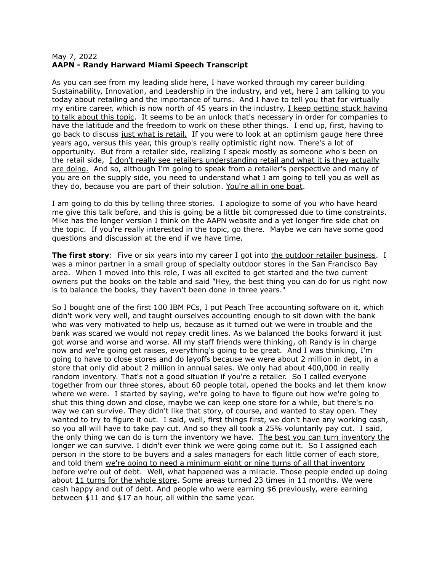## May 7, 2022 **AAPN - Randy Harward Miami Speech Transcript**

As you can see from my leading slide here, I have worked through my career building Sustainability, Innovation, and Leadership in the industry, and yet, here I am talking to you today about retailing and the importance of turns. And I have to tell you that for virtually my entire career, which is now north of 45 years in the industry, I keep getting stuck having to talk about this topic. It seems to be an unlock that's necessary in order for companies to have the latitude and the freedom to work on these other things. I end up, first, having to go back to discuss just what is retail. If you were to look at an optimism gauge here three years ago, versus this year, this group's really optimistic right now. There's a lot of opportunity. But from a retailer side, realizing I speak mostly as someone who's been on the retail side, I don't really see retailers understanding retail and what it is they actually are doing. And so, although I'm going to speak from a retailer's perspective and many of you are on the supply side, you need to understand what I am going to tell you as well as they do, because you are part of their solution. You're all in one boat.

I am going to do this by telling three stories. I apologize to some of you who have heard me give this talk before, and this is going be a little bit compressed due to time constraints. Mike has the longer version I think on the AAPN website and a yet longer fire side chat on the topic. If you're really interested in the topic, go there. Maybe we can have some good questions and discussion at the end if we have time.

**The first story**: Five or six years into my career I got into the outdoor retailer business. I was a minor partner in a small group of specialty outdoor stores in the San Francisco Bay area. When I moved into this role, I was all excited to get started and the two current owners put the books on the table and said "Hey, the best thing you can do for us right now is to balance the books, they haven't been done in three years."

So I bought one of the first 100 IBM PCs, I put Peach Tree accounting software on it, which didn't work very well, and taught ourselves accounting enough to sit down with the bank who was very motivated to help us, because as it turned out we were in trouble and the bank was scared we would not repay credit lines. As we balanced the books forward it just got worse and worse and worse. All my staff friends were thinking, oh Randy is in charge now and we're going get raises, everything's going to be great. And I was thinking, I'm going to have to close stores and do layoffs because we were about 2 million in debt, in a store that only did about 2 million in annual sales. We only had about 400,000 in really random inventory. That's not a good situation if you're a retailer. So I called everyone together from our three stores, about 60 people total, opened the books and let them know where we were. I started by saying, we're going to have to figure out how we're going to shut this thing down and close, maybe we can keep one store for a while, but there's no way we can survive. They didn't like that story, of course, and wanted to stay open. They wanted to try to figure it out. I said, well, first things first, we don't have any working cash, so you all will have to take pay cut. And so they all took a 25% voluntarily pay cut. I said, the only thing we can do is turn the inventory we have. The best you can turn inventory the longer we can survive. I didn't ever think we were going come out it. So I assigned each person in the store to be buyers and a sales managers for each little corner of each store, and told them we're going to need a minimum eight or nine turns of all that inventory before we're out of debt. Well, what happened was a miracle. Those people ended up doing about 11 turns for the whole store. Some areas turned 23 times in 11 months. We were cash happy and out of debt. And people who were earning \$6 previously, were earning between \$11 and \$17 an hour, all within the same year.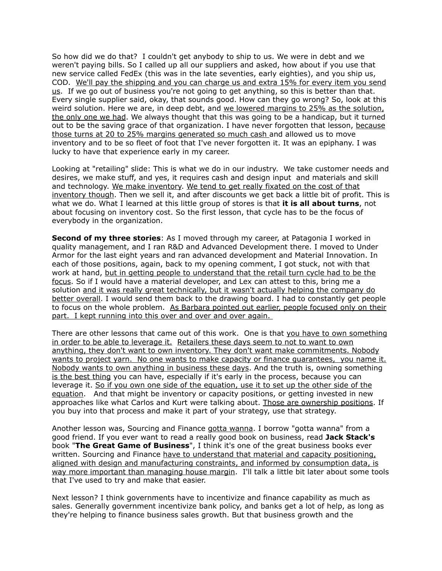So how did we do that? I couldn't get anybody to ship to us. We were in debt and we weren't paying bills. So I called up all our suppliers and asked, how about if you use that new service called FedEx (this was in the late seventies, early eighties), and you ship us, COD. We'll pay the shipping and you can charge us and extra 15% for every item you send us. If we go out of business you're not going to get anything, so this is better than that. Every single supplier said, okay, that sounds good. How can they go wrong? So, look at this weird solution. Here we are, in deep debt, and we lowered margins to 25% as the solution, the only one we had. We always thought that this was going to be a handicap, but it turned out to be the saving grace of that organization. I have never forgotten that lesson, because those turns at 20 to 25% margins generated so much cash and allowed us to move inventory and to be so fleet of foot that I've never forgotten it. It was an epiphany. I was lucky to have that experience early in my career.

Looking at "retailing" slide: This is what we do in our industry. We take customer needs and desires, we make stuff, and yes, it requires cash and design input and materials and skill and technology. We make inventory. We tend to get really fixated on the cost of that inventory though. Then we sell it, and after discounts we get back a little bit of profit. This is what we do. What I learned at this little group of stores is that **it is all about turns**, not about focusing on inventory cost. So the first lesson, that cycle has to be the focus of everybody in the organization.

**Second of my three stories**: As I moved through my career, at Patagonia I worked in quality management, and I ran R&D and Advanced Development there. I moved to Under Armor for the last eight years and ran advanced development and Material Innovation. In each of those positions, again, back to my opening comment, I got stuck, not with that work at hand, but in getting people to understand that the retail turn cycle had to be the focus. So if I would have a material developer, and Lex can attest to this, bring me a solution and it was really great technically, but it wasn't actually helping the company do better overall. I would send them back to the drawing board. I had to constantly get people to focus on the whole problem. As Barbara pointed out earlier, people focused only on their part. I kept running into this over and over and over again.

There are other lessons that came out of this work. One is that you have to own something in order to be able to leverage it. Retailers these days seem to not to want to own anything, they don't want to own inventory. They don't want make commitments. Nobody wants to project yarn. No one wants to make capacity or finance guarantees, you name it. Nobody wants to own anything in business these days. And the truth is, owning something is the best thing you can have, especially if it's early in the process, because you can leverage it. So if you own one side of the equation, use it to set up the other side of the equation. And that might be inventory or capacity positions, or getting invested in new approaches like what Carlos and Kurt were talking about. Those are ownership positions. If you buy into that process and make it part of your strategy, use that strategy.

Another lesson was, Sourcing and Finance gotta wanna. I borrow "gotta wanna" from a good friend. If you ever want to read a really good book on business, read **Jack Stack's** book "**The Great Game of Business**", I think it's one of the great business books ever written. Sourcing and Finance have to understand that material and capacity positioning, aligned with design and manufacturing constraints, and informed by consumption data, is way more important than managing house margin. I'll talk a little bit later about some tools that I've used to try and make that easier.

Next lesson? I think governments have to incentivize and finance capability as much as sales. Generally government incentivize bank policy, and banks get a lot of help, as long as they're helping to finance business sales growth. But that business growth and the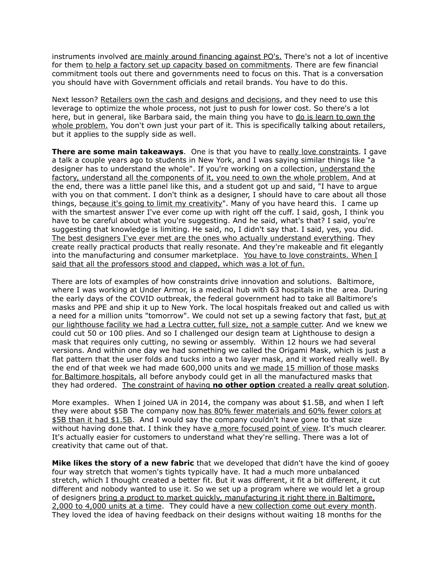instruments involved are mainly around financing against PO's. There's not a lot of incentive for them to help a factory set up capacity based on commitments. There are few financial commitment tools out there and governments need to focus on this. That is a conversation you should have with Government officials and retail brands. You have to do this.

Next lesson? Retailers own the cash and designs and decisions, and they need to use this leverage to optimize the whole process, not just to push for lower cost. So there's a lot here, but in general, like Barbara said, the main thing you have to do is learn to own the whole problem. You don't own just your part of it. This is specifically talking about retailers, but it applies to the supply side as well.

**There are some main takeaways**. One is that you have to really love constraints. I gave a talk a couple years ago to students in New York, and I was saying similar things like "a designer has to understand the whole". If you're working on a collection, understand the factory, understand all the components of it, you need to own the whole problem. And at the end, there was a little panel like this, and a student got up and said, "I have to argue with you on that comment. I don't think as a designer, I should have to care about all those things, because it's going to limit my creativity". Many of you have heard this. I came up with the smartest answer I've ever come up with right off the cuff. I said, gosh, I think you have to be careful about what you're suggesting. And he said, what's that? I said, you're suggesting that knowledge is limiting. He said, no, I didn't say that. I said, yes, you did. The best designers I've ever met are the ones who actually understand everything. They create really practical products that really resonate. And they're makeable and fit elegantly into the manufacturing and consumer marketplace. You have to love constraints. When I said that all the professors stood and clapped, which was a lot of fun.

There are lots of examples of how constraints drive innovation and solutions. Baltimore, where I was working at Under Armor, is a medical hub with 63 hospitals in the area. During the early days of the COVID outbreak, the federal government had to take all Baltimore's masks and PPE and ship it up to New York. The local hospitals freaked out and called us with a need for a million units "tomorrow". We could not set up a sewing factory that fast, but at our lighthouse facility we had a Lectra cutter, full size, not a sample cutter. And we knew we could cut 50 or 100 plies. And so I challenged our design team at Lighthouse to design a mask that requires only cutting, no sewing or assembly. Within 12 hours we had several versions. And within one day we had something we called the Origami Mask, which is just a flat pattern that the user folds and tucks into a two layer mask, and it worked really well. By the end of that week we had made 600,000 units and we made 15 million of those masks for Baltimore hospitals, all before anybody could get in all the manufactured masks that they had ordered. The constraint of having **no other option** created a really great solution.

More examples. When I joined UA in 2014, the company was about \$1.5B, and when I left they were about \$5B The company now has 80% fewer materials and 60% fewer colors at \$5B than it had \$1.5B. And I would say the company couldn't have gone to that size without having done that. I think they have a more focused point of view. It's much clearer. It's actually easier for customers to understand what they're selling. There was a lot of creativity that came out of that.

**Mike likes the story of a new fabric** that we developed that didn't have the kind of gooey four way stretch that women's tights typically have. It had a much more unbalanced stretch, which I thought created a better fit. But it was different, it fit a bit different, it cut different and nobody wanted to use it. So we set up a program where we would let a group of designers bring a product to market quickly, manufacturing it right there in Baltimore, 2,000 to 4,000 units at a time. They could have a new collection come out every month. They loved the idea of having feedback on their designs without waiting 18 months for the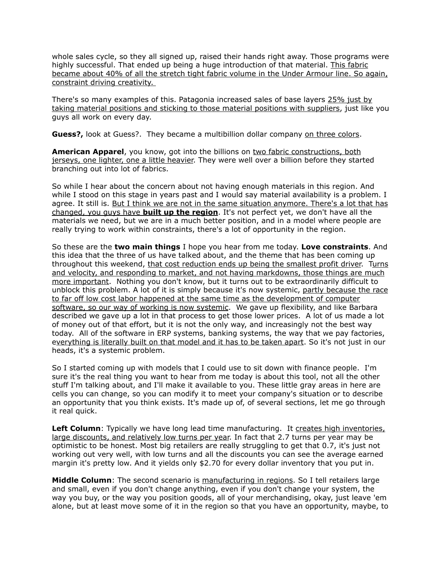whole sales cycle, so they all signed up, raised their hands right away. Those programs were highly successful. That ended up being a huge introduction of that material. This fabric became about 40% of all the stretch tight fabric volume in the Under Armour line. So again, constraint driving creativity.

There's so many examples of this. Patagonia increased sales of base layers 25% just by taking material positions and sticking to those material positions with suppliers, just like you guys all work on every day.

**Guess?,** look at Guess?. They became a multibillion dollar company on three colors.

**American Apparel**, you know, got into the billions on two fabric constructions, both jerseys, one lighter, one a little heavier. They were well over a billion before they started branching out into lot of fabrics.

So while I hear about the concern about not having enough materials in this region. And while I stood on this stage in years past and I would say material availability is a problem. I agree. It still is. But I think we are not in the same situation anymore. There's a lot that has changed, you guys have **built up the region**. It's not perfect yet, we don't have all the materials we need, but we are in a much better position, and in a model where people are really trying to work within constraints, there's a lot of opportunity in the region.

So these are the **two main things** I hope you hear from me today. **Love constraints**. And this idea that the three of us have talked about, and the theme that has been coming up throughout this weekend, that cost reduction ends up being the smallest profit driver. Turns and velocity, and responding to market, and not having markdowns, those things are much more important. Nothing you don't know, but it turns out to be extraordinarily difficult to unblock this problem. A lot of it is simply because it's now systemic, partly because the race to far off low cost labor happened at the same time as the development of computer software, so our way of working is now systemic. We gave up flexibility, and like Barbara described we gave up a lot in that process to get those lower prices. A lot of us made a lot of money out of that effort, but it is not the only way, and increasingly not the best way today. All of the software in ERP systems, banking systems, the way that we pay factories, everything is literally built on that model and it has to be taken apart. So it's not just in our heads, it's a systemic problem.

So I started coming up with models that I could use to sit down with finance people. I'm sure it's the real thing you want to hear from me today is about this tool, not all the other stuff I'm talking about, and I'll make it available to you. These little gray areas in here are cells you can change, so you can modify it to meet your company's situation or to describe an opportunity that you think exists. It's made up of, of several sections, let me go through it real quick.

**Left Column**: Typically we have long lead time manufacturing. It creates high inventories, large discounts, and relatively low turns per year. In fact that 2.7 turns per year may be optimistic to be honest. Most big retailers are really struggling to get that 0.7, it's just not working out very well, with low turns and all the discounts you can see the average earned margin it's pretty low. And it yields only \$2.70 for every dollar inventory that you put in.

**Middle Column**: The second scenario is manufacturing in regions. So I tell retailers large and small, even if you don't change anything, even if you don't change your system, the way you buy, or the way you position goods, all of your merchandising, okay, just leave 'em alone, but at least move some of it in the region so that you have an opportunity, maybe, to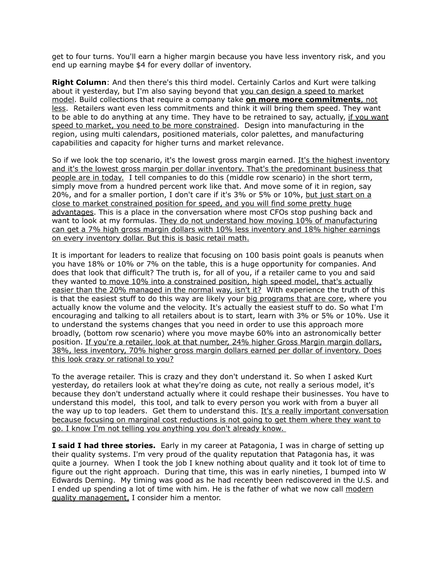get to four turns. You'll earn a higher margin because you have less inventory risk, and you end up earning maybe \$4 for every dollar of inventory.

**Right Column**: And then there's this third model. Certainly Carlos and Kurt were talking about it yesterday, but I'm also saying beyond that you can design a speed to market model. Build collections that require a company take **on more more commitments**, not less. Retailers want even less commitments and think it will bring them speed. They want to be able to do anything at any time. They have to be retrained to say, actually, if you want speed to market, you need to be more constrained. Design into manufacturing in the region, using multi calendars, positioned materials, color palettes, and manufacturing capabilities and capacity for higher turns and market relevance.

So if we look the top scenario, it's the lowest gross margin earned. It's the highest inventory and it's the lowest gross margin per dollar inventory. That's the predominant business that people are in today. I tell companies to do this (middle row scenario) in the short term, simply move from a hundred percent work like that. And move some of it in region, say 20%, and for a smaller portion, I don't care if it's 3% or 5% or 10%, but just start on a close to market constrained position for speed, and you will find some pretty huge advantages. This is a place in the conversation where most CFOs stop pushing back and want to look at my formulas. They do not understand how moving 10% of manufacturing can get a 7% high gross margin dollars with 10% less inventory and 18% higher earnings on every inventory dollar. But this is basic retail math.

It is important for leaders to realize that focusing on 100 basis point goals is peanuts when you have 18% or 10% or 7% on the table, this is a huge opportunity for companies. And does that look that difficult? The truth is, for all of you, if a retailer came to you and said they wanted to move 10% into a constrained position, high speed model, that's actually easier than the 20% managed in the normal way, isn't it? With experience the truth of this is that the easiest stuff to do this way are likely your big programs that are core, where you actually know the volume and the velocity. It's actually the easiest stuff to do. So what I'm encouraging and talking to all retailers about is to start, learn with 3% or 5% or 10%. Use it to understand the systems changes that you need in order to use this approach more broadly, (bottom row scenario) where you move maybe 60% into an astronomically better position. If you're a retailer, look at that number, 24% higher Gross Margin margin dollars, 38%, less inventory, 70% higher gross margin dollars earned per dollar of inventory. Does this look crazy or rational to you?

To the average retailer. This is crazy and they don't understand it. So when I asked Kurt yesterday, do retailers look at what they're doing as cute, not really a serious model, it's because they don't understand actually where it could reshape their businesses. You have to understand this model, this tool, and talk to every person you work with from a buyer all the way up to top leaders. Get them to understand this. It's a really important conversation because focusing on marginal cost reductions is not going to get them where they want to go. I know I'm not telling you anything you don't already know.

**I said I had three stories.** Early in my career at Patagonia, I was in charge of setting up their quality systems. I'm very proud of the quality reputation that Patagonia has, it was quite a journey. When I took the job I knew nothing about quality and it took lot of time to figure out the right approach. During that time, this was in early nineties, I bumped into W Edwards Deming. My timing was good as he had recently been rediscovered in the U.S. and I ended up spending a lot of time with him. He is the father of what we now call modern quality management, I consider him a mentor.